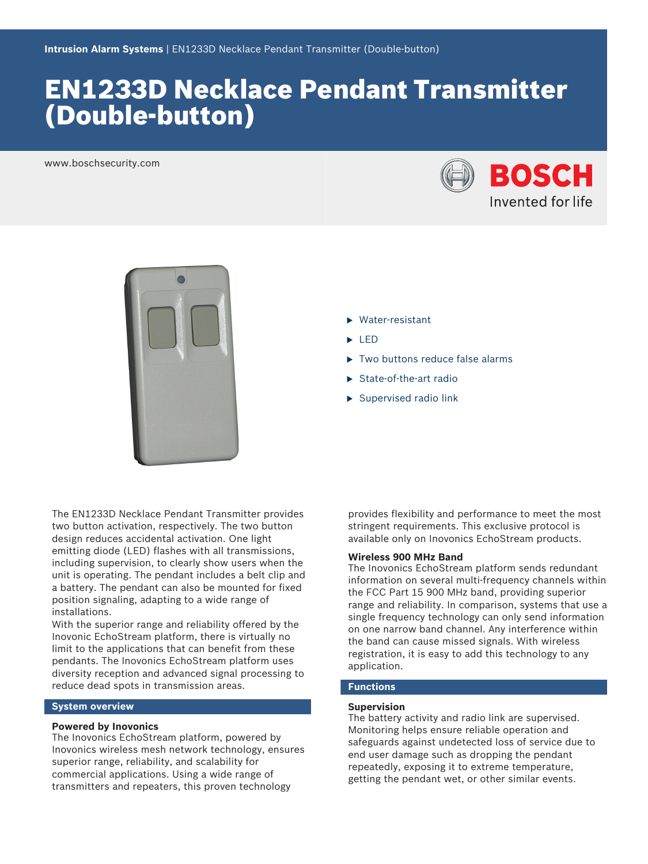# EN1233D Necklace Pendant Transmitter (Double‑button)

www.boschsecurity.com





- $\blacktriangleright$  Water-resistant
- $\blacktriangleright$  LED
- $\blacktriangleright$  Two buttons reduce false alarms
- $\blacktriangleright$  State-of-the-art radio
- $\blacktriangleright$  Supervised radio link

The EN1233D Necklace Pendant Transmitter provides two button activation, respectively. The two button design reduces accidental activation. One light emitting diode (LED) flashes with all transmissions, including supervision, to clearly show users when the unit is operating. The pendant includes a belt clip and a battery. The pendant can also be mounted for fixed position signaling, adapting to a wide range of installations.

With the superior range and reliability offered by the Inovonic EchoStream platform, there is virtually no limit to the applications that can benefit from these pendants. The Inovonics EchoStream platform uses diversity reception and advanced signal processing to reduce dead spots in transmission areas.

# **System overview**

### **Powered by Inovonics**

The Inovonics EchoStream platform, powered by Inovonics wireless mesh network technology, ensures superior range, reliability, and scalability for commercial applications. Using a wide range of transmitters and repeaters, this proven technology

provides flexibility and performance to meet the most stringent requirements. This exclusive protocol is available only on Inovonics EchoStream products.

# **Wireless 900 MHz Band**

The Inovonics EchoStream platform sends redundant information on several multi-frequency channels within the FCC Part 15 900 MHz band, providing superior range and reliability. In comparison, systems that use a single frequency technology can only send information on one narrow band channel. Any interference within the band can cause missed signals. With wireless registration, it is easy to add this technology to any application.

# **Functions**

#### **Supervision**

The battery activity and radio link are supervised. Monitoring helps ensure reliable operation and safeguards against undetected loss of service due to end user damage such as dropping the pendant repeatedly, exposing it to extreme temperature, getting the pendant wet, or other similar events.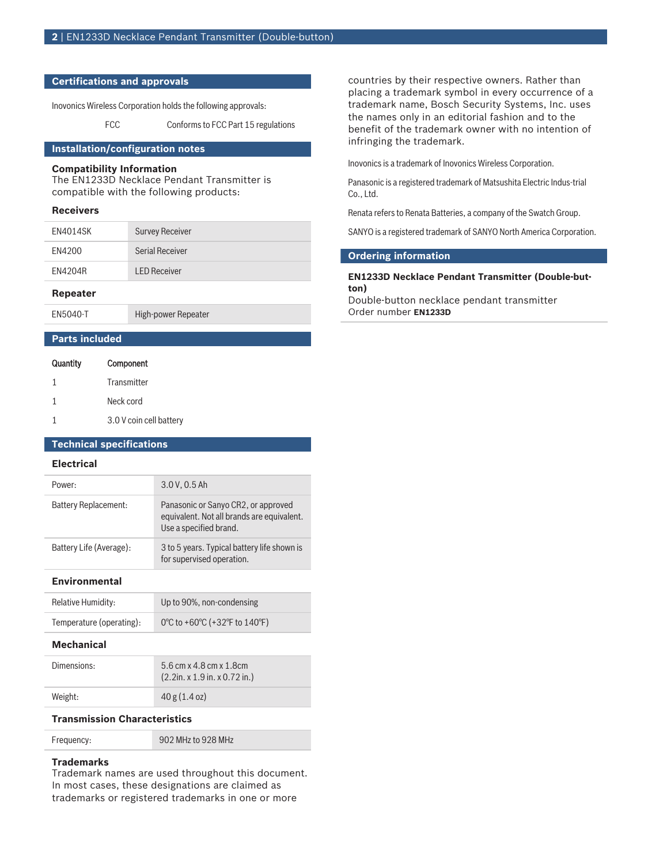### **Certifications and approvals**

Inovonics Wireless Corporation holds the following approvals:

FCC Conforms to FCC Part 15 regulations

# **Installation/configuration notes**

#### **Compatibility Information**

The EN1233D Necklace Pendant Transmitter is compatible with the following products:

### **Receivers**

| EN4014SK       | <b>Survey Receiver</b> |
|----------------|------------------------|
| EN4200         | Serial Receiver        |
| <b>EN4204R</b> | <b>LED Receiver</b>    |
|                |                        |

# **Repeater**

EN5040‑T High‑power Repeater

# **Parts included**

| Quantity     | Component               |
|--------------|-------------------------|
| $\mathbf{1}$ | Transmitter             |
| 1            | Neck cord               |
|              | 3.0 V coin cell battery |

# **Technical specifications**

# **Electrical**

| Power:                  | 3.0 V, 0.5 Ah                                                                                               |
|-------------------------|-------------------------------------------------------------------------------------------------------------|
| Battery Replacement:    | Panasonic or Sanyo CR2, or approved<br>equivalent. Not all brands are equivalent.<br>Use a specified brand. |
| Battery Life (Average): | 3 to 5 years. Typical battery life shown is<br>for supervised operation.                                    |

### **Environmental**

| Relative Humidity:       | Up to 90%, non-condensing     |
|--------------------------|-------------------------------|
| Temperature (operating): | 0°C to +60°C (+32°F to 140°F) |

#### **Mechanical**

| Dimensions: | 5.6 cm x 4.8 cm x 1.8 cm<br>$(2.2$ in. x 1.9 in. x 0.72 in.) |
|-------------|--------------------------------------------------------------|
| Weight:     | 40 g (1.4 oz)                                                |

# **Transmission Characteristics**

| Frequency: | 902 MHz to 928 MHz |
|------------|--------------------|
|            |                    |

#### **Trademarks**

Trademark names are used throughout this document. In most cases, these designations are claimed as trademarks or registered trademarks in one or more

countries by their respective owners. Rather than placing a trademark symbol in every occurrence of a trademark name, Bosch Security Systems, Inc. uses the names only in an editorial fashion and to the benefit of the trademark owner with no intention of infringing the trademark.

Inovonics is a trademark of Inovonics Wireless Corporation.

Panasonic is a registered trademark of Matsushita Electric Indus-trial Co., Ltd.

Renata refers to Renata Batteries, a company of the Swatch Group.

SANYO is a registered trademark of SANYO North America Corporation.

# **Ordering information**

#### **EN1233D Necklace Pendant Transmitter (Double‑button)**

Double-button necklace pendant transmitter Order number **EN1233D**